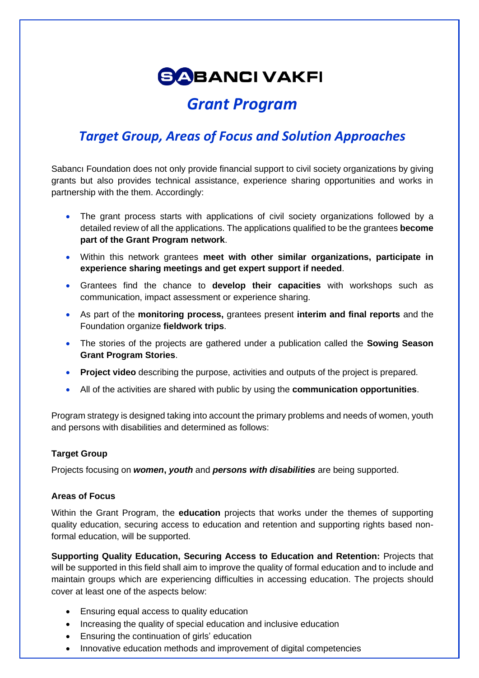# **SABANCI VAKFI**

## *Grant Program*

### *Target Group, Areas of Focus and Solution Approaches*

Sabancı Foundation does not only provide financial support to civil society organizations by giving grants but also provides technical assistance, experience sharing opportunities and works in partnership with the them. Accordingly:

- The grant process starts with applications of civil society organizations followed by a detailed review of all the applications. The applications qualified to be the grantees **become part of the Grant Program network**.
- Within this network grantees **meet with other similar organizations, participate in experience sharing meetings and get expert support if needed**.
- Grantees find the chance to **develop their capacities** with workshops such as communication, impact assessment or experience sharing.
- As part of the **monitoring process,** grantees present **interim and final reports** and the Foundation organize **fieldwork trips**.
- The stories of the projects are gathered under a publication called the **Sowing Season Grant Program Stories**.
- **Project video** describing the purpose, activities and outputs of the project is prepared.
- All of the activities are shared with public by using the **communication opportunities**.

Program strategy is designed taking into account the primary problems and needs of women, youth and persons with disabilities and determined as follows:

#### **Target Group**

Projects focusing on *women***,** *youth* and *persons with disabilities* are being supported.

#### **Areas of Focus**

Within the Grant Program, the **education** projects that works under the themes of supporting quality education, securing access to education and retention and supporting rights based nonformal education, will be supported.

**Supporting Quality Education, Securing Access to Education and Retention:** Projects that will be supported in this field shall aim to improve the quality of formal education and to include and maintain groups which are experiencing difficulties in accessing education. The projects should cover at least one of the aspects below:

- Ensuring equal access to quality education
- Increasing the quality of special education and inclusive education
- Ensuring the continuation of girls' education
- Innovative education methods and improvement of digital competencies